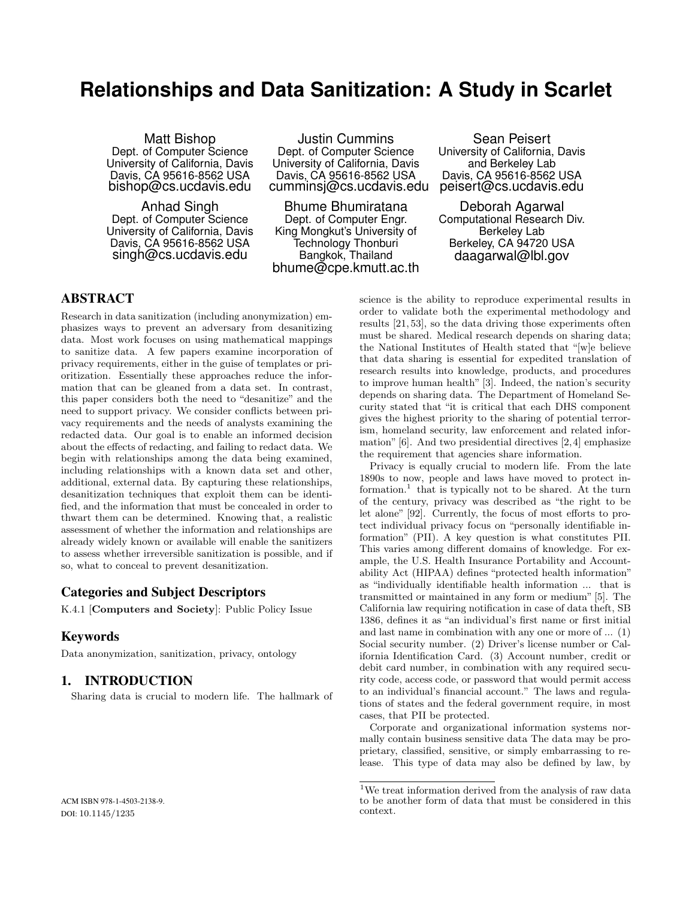## **Relationships and Data Sanitization: A Study in Scarlet**

Matt Bishop Dept. of Computer Science University of California, Davis Davis, CA 95616-8562 USA bishop@cs.ucdavis.edu

Anhad Singh Dept. of Computer Science University of California, Davis Davis, CA 95616-8562 USA singh@cs.ucdavis.edu

Justin Cummins Dept. of Computer Science University of California, Davis Davis, CA 95616-8562 USA cumminsj@cs.ucdavis.edu

Bhume Bhumiratana Dept. of Computer Engr. King Mongkut's University of Technology Thonburi Bangkok, Thailand bhume@cpe.kmutt.ac.th

Sean Peisert University of California, Davis and Berkeley Lab Davis, CA 95616-8562 USA peisert@cs.ucdavis.edu

Deborah Agarwal Computational Research Div. Berkeley Lab Berkeley, CA 94720 USA daagarwal@lbl.gov

## ABSTRACT

Research in data sanitization (including anonymization) emphasizes ways to prevent an adversary from desanitizing data. Most work focuses on using mathematical mappings to sanitize data. A few papers examine incorporation of privacy requirements, either in the guise of templates or prioritization. Essentially these approaches reduce the information that can be gleaned from a data set. In contrast, this paper considers both the need to "desanitize" and the need to support privacy. We consider conflicts between privacy requirements and the needs of analysts examining the redacted data. Our goal is to enable an informed decision about the effects of redacting, and failing to redact data. We begin with relationships among the data being examined, including relationships with a known data set and other, additional, external data. By capturing these relationships, desanitization techniques that exploit them can be identified, and the information that must be concealed in order to thwart them can be determined. Knowing that, a realistic assessment of whether the information and relationships are already widely known or available will enable the sanitizers to assess whether irreversible sanitization is possible, and if so, what to conceal to prevent desanitization.

## Categories and Subject Descriptors

K.4.1 [Computers and Society]: Public Policy Issue

#### Keywords

Data anonymization, sanitization, privacy, ontology

## 1. INTRODUCTION

Sharing data is crucial to modern life. The hallmark of

ACM ISBN 978-1-4503-2138-9. DOI: 10.1145/1235

science is the ability to reproduce experimental results in order to validate both the experimental methodology and results [21, 53], so the data driving those experiments often must be shared. Medical research depends on sharing data; the National Institutes of Health stated that "[w]e believe that data sharing is essential for expedited translation of research results into knowledge, products, and procedures to improve human health" [3]. Indeed, the nation's security depends on sharing data. The Department of Homeland Security stated that "it is critical that each DHS component gives the highest priority to the sharing of potential terrorism, homeland security, law enforcement and related information" [6]. And two presidential directives [2, 4] emphasize the requirement that agencies share information.

Privacy is equally crucial to modern life. From the late 1890s to now, people and laws have moved to protect information.<sup>1</sup> that is typically not to be shared. At the turn of the century, privacy was described as "the right to be let alone" [92]. Currently, the focus of most efforts to protect individual privacy focus on "personally identifiable information" (PII). A key question is what constitutes PII. This varies among different domains of knowledge. For example, the U.S. Health Insurance Portability and Accountability Act (HIPAA) defines "protected health information" as "individually identifiable health information ... that is transmitted or maintained in any form or medium" [5]. The California law requiring notification in case of data theft, SB 1386, defines it as "an individual's first name or first initial and last name in combination with any one or more of ... (1) Social security number. (2) Driver's license number or California Identification Card. (3) Account number, credit or debit card number, in combination with any required security code, access code, or password that would permit access to an individual's financial account." The laws and regulations of states and the federal government require, in most cases, that PII be protected.

Corporate and organizational information systems normally contain business sensitive data The data may be proprietary, classified, sensitive, or simply embarrassing to release. This type of data may also be defined by law, by

 $^1\rm{We}$  treat information derived from the analysis of raw data to be another form of data that must be considered in this context.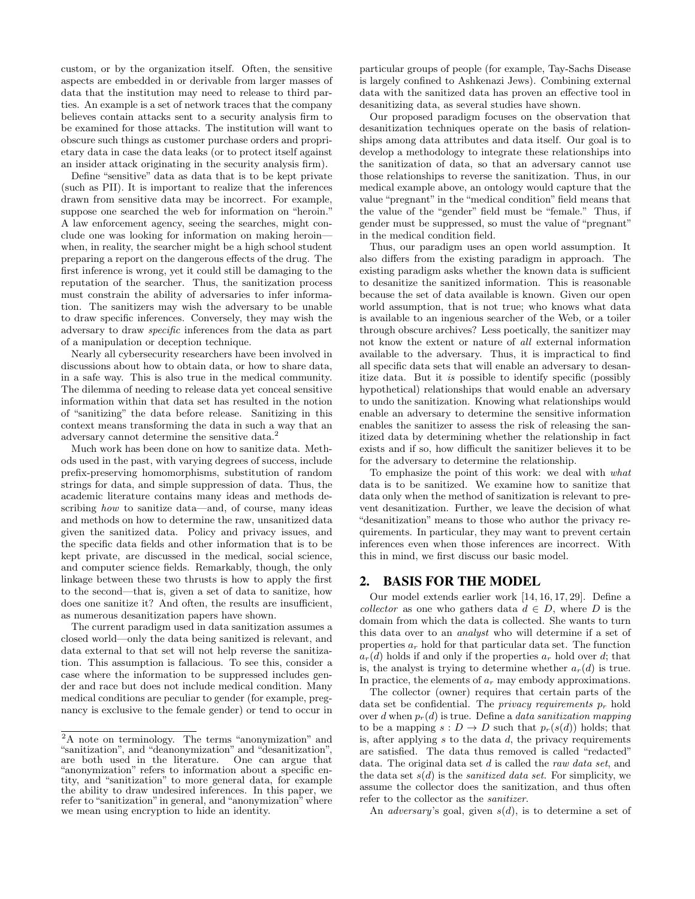custom, or by the organization itself. Often, the sensitive aspects are embedded in or derivable from larger masses of data that the institution may need to release to third parties. An example is a set of network traces that the company believes contain attacks sent to a security analysis firm to be examined for those attacks. The institution will want to obscure such things as customer purchase orders and proprietary data in case the data leaks (or to protect itself against an insider attack originating in the security analysis firm).

Define "sensitive" data as data that is to be kept private (such as PII). It is important to realize that the inferences drawn from sensitive data may be incorrect. For example, suppose one searched the web for information on "heroin." A law enforcement agency, seeing the searches, might conclude one was looking for information on making heroin when, in reality, the searcher might be a high school student preparing a report on the dangerous effects of the drug. The first inference is wrong, yet it could still be damaging to the reputation of the searcher. Thus, the sanitization process must constrain the ability of adversaries to infer information. The sanitizers may wish the adversary to be unable to draw specific inferences. Conversely, they may wish the adversary to draw specific inferences from the data as part of a manipulation or deception technique.

Nearly all cybersecurity researchers have been involved in discussions about how to obtain data, or how to share data, in a safe way. This is also true in the medical community. The dilemma of needing to release data yet conceal sensitive information within that data set has resulted in the notion of "sanitizing" the data before release. Sanitizing in this context means transforming the data in such a way that an adversary cannot determine the sensitive data.<sup>2</sup>

Much work has been done on how to sanitize data. Methods used in the past, with varying degrees of success, include prefix-preserving homomorphisms, substitution of random strings for data, and simple suppression of data. Thus, the academic literature contains many ideas and methods describing how to sanitize data—and, of course, many ideas and methods on how to determine the raw, unsanitized data given the sanitized data. Policy and privacy issues, and the specific data fields and other information that is to be kept private, are discussed in the medical, social science, and computer science fields. Remarkably, though, the only linkage between these two thrusts is how to apply the first to the second—that is, given a set of data to sanitize, how does one sanitize it? And often, the results are insufficient, as numerous desanitization papers have shown.

The current paradigm used in data sanitization assumes a closed world—only the data being sanitized is relevant, and data external to that set will not help reverse the sanitization. This assumption is fallacious. To see this, consider a case where the information to be suppressed includes gender and race but does not include medical condition. Many medical conditions are peculiar to gender (for example, pregnancy is exclusive to the female gender) or tend to occur in particular groups of people (for example, Tay-Sachs Disease is largely confined to Ashkenazi Jews). Combining external data with the sanitized data has proven an effective tool in desanitizing data, as several studies have shown.

Our proposed paradigm focuses on the observation that desanitization techniques operate on the basis of relationships among data attributes and data itself. Our goal is to develop a methodology to integrate these relationships into the sanitization of data, so that an adversary cannot use those relationships to reverse the sanitization. Thus, in our medical example above, an ontology would capture that the value "pregnant" in the "medical condition" field means that the value of the "gender" field must be "female." Thus, if gender must be suppressed, so must the value of "pregnant" in the medical condition field.

Thus, our paradigm uses an open world assumption. It also differs from the existing paradigm in approach. The existing paradigm asks whether the known data is sufficient to desanitize the sanitized information. This is reasonable because the set of data available is known. Given our open world assumption, that is not true; who knows what data is available to an ingenious searcher of the Web, or a toiler through obscure archives? Less poetically, the sanitizer may not know the extent or nature of all external information available to the adversary. Thus, it is impractical to find all specific data sets that will enable an adversary to desanitize data. But it is possible to identify specific (possibly hypothetical) relationships that would enable an adversary to undo the sanitization. Knowing what relationships would enable an adversary to determine the sensitive information enables the sanitizer to assess the risk of releasing the sanitized data by determining whether the relationship in fact exists and if so, how difficult the sanitizer believes it to be for the adversary to determine the relationship.

To emphasize the point of this work: we deal with what data is to be sanitized. We examine how to sanitize that data only when the method of sanitization is relevant to prevent desanitization. Further, we leave the decision of what "desanitization" means to those who author the privacy requirements. In particular, they may want to prevent certain inferences even when those inferences are incorrect. With this in mind, we first discuss our basic model.

### 2. BASIS FOR THE MODEL

Our model extends earlier work [14, 16, 17, 29]. Define a collector as one who gathers data  $d \in D$ , where D is the domain from which the data is collected. She wants to turn this data over to an analyst who will determine if a set of properties  $a_r$  hold for that particular data set. The function  $a_r(d)$  holds if and only if the properties  $a_r$  hold over d; that is, the analyst is trying to determine whether  $a_r(d)$  is true. In practice, the elements of  $a_r$  may embody approximations.

The collector (owner) requires that certain parts of the data set be confidential. The *privacy requirements*  $p_r$  hold over d when  $p_r(d)$  is true. Define a data sanitization mapping to be a mapping  $s: D \to D$  such that  $p_r(s(d))$  holds; that is, after applying  $s$  to the data  $d$ , the privacy requirements are satisfied. The data thus removed is called "redacted" data. The original data set d is called the raw data set, and the data set  $s(d)$  is the *sanitized data set*. For simplicity, we assume the collector does the sanitization, and thus often refer to the collector as the sanitizer.

An *adversary*'s goal, given  $s(d)$ , is to determine a set of

<sup>2</sup>A note on terminology. The terms "anonymization" and "sanitization", and "deanonymization" and "desanitization", are both used in the literature. One can argue that are both used in the literature. "anonymization" refers to information about a specific entity, and "sanitization" to more general data, for example the ability to draw undesired inferences. In this paper, we refer to "sanitization" in general, and "anonymization" where we mean using encryption to hide an identity.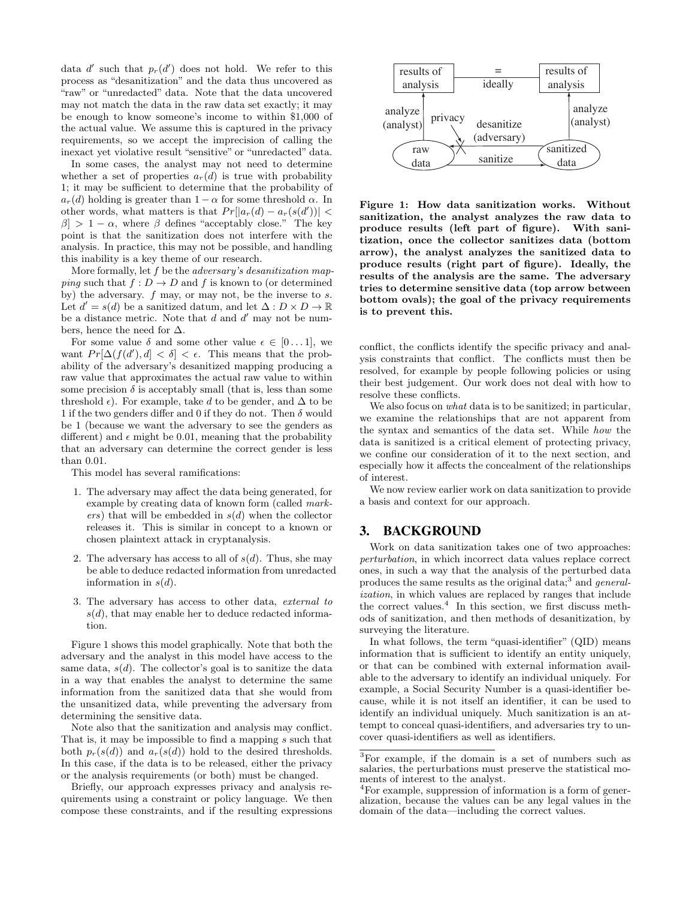data  $d'$  such that  $p_r(d')$  does not hold. We refer to this process as "desanitization" and the data thus uncovered as "raw" or "unredacted" data. Note that the data uncovered may not match the data in the raw data set exactly; it may be enough to know someone's income to within \$1,000 of the actual value. We assume this is captured in the privacy requirements, so we accept the imprecision of calling the inexact yet violative result "sensitive" or "unredacted" data.

In some cases, the analyst may not need to determine whether a set of properties  $a_r(d)$  is true with probability 1; it may be sufficient to determine that the probability of  $a_r(d)$  holding is greater than  $1 - \alpha$  for some threshold  $\alpha$ . In other words, what matters is that  $Pr[|a_r(d) - a_r(s(d'))|$  <  $\beta$  > 1 –  $\alpha$ , where  $\beta$  defines "acceptably close." The key point is that the sanitization does not interfere with the analysis. In practice, this may not be possible, and handling this inability is a key theme of our research.

More formally, let f be the *adversary's desanitization map*ping such that  $f: D \to D$  and f is known to (or determined by) the adversary.  $f$  may, or may not, be the inverse to  $s$ . Let  $d' = s(d)$  be a sanitized datum, and let  $\Delta : D \times D \to \mathbb{R}$ be a distance metric. Note that  $d$  and  $d'$  may not be numbers, hence the need for  $\Delta$ .

For some value  $\delta$  and some other value  $\epsilon \in [0 \dots 1]$ , we want  $Pr[\Delta(f(d'), d] < \delta] < \epsilon$ . This means that the probability of the adversary's desanitized mapping producing a raw value that approximates the actual raw value to within some precision  $\delta$  is acceptably small (that is, less than some threshold  $\epsilon$ ). For example, take d to be gender, and  $\Delta$  to be 1 if the two genders differ and 0 if they do not. Then  $\delta$  would be 1 (because we want the adversary to see the genders as different) and  $\epsilon$  might be 0.01, meaning that the probability that an adversary can determine the correct gender is less than 0.01.

This model has several ramifications:

- 1. The adversary may affect the data being generated, for example by creating data of known form (called mark $ers)$  that will be embedded in  $s(d)$  when the collector releases it. This is similar in concept to a known or chosen plaintext attack in cryptanalysis.
- 2. The adversary has access to all of  $s(d)$ . Thus, she may be able to deduce redacted information from unredacted information in  $s(d)$ .
- 3. The adversary has access to other data, external to  $s(d)$ , that may enable her to deduce redacted information.

Figure 1 shows this model graphically. Note that both the adversary and the analyst in this model have access to the same data,  $s(d)$ . The collector's goal is to sanitize the data in a way that enables the analyst to determine the same information from the sanitized data that she would from the unsanitized data, while preventing the adversary from determining the sensitive data.

Note also that the sanitization and analysis may conflict. That is, it may be impossible to find a mapping s such that both  $p_r(s(d))$  and  $a_r(s(d))$  hold to the desired thresholds. In this case, if the data is to be released, either the privacy or the analysis requirements (or both) must be changed.

Briefly, our approach expresses privacy and analysis requirements using a constraint or policy language. We then compose these constraints, and if the resulting expressions



Figure 1: How data sanitization works. Without sanitization, the analyst analyzes the raw data to produce results (left part of figure). With sanitization, once the collector sanitizes data (bottom arrow), the analyst analyzes the sanitized data to produce results (right part of figure). Ideally, the results of the analysis are the same. The adversary tries to determine sensitive data (top arrow between bottom ovals); the goal of the privacy requirements is to prevent this.

conflict, the conflicts identify the specific privacy and analysis constraints that conflict. The conflicts must then be resolved, for example by people following policies or using their best judgement. Our work does not deal with how to resolve these conflicts.

We also focus on *what* data is to be sanitized; in particular, we examine the relationships that are not apparent from the syntax and semantics of the data set. While how the data is sanitized is a critical element of protecting privacy, we confine our consideration of it to the next section, and especially how it affects the concealment of the relationships of interest.

We now review earlier work on data sanitization to provide a basis and context for our approach.

## 3. BACKGROUND

Work on data sanitization takes one of two approaches: perturbation, in which incorrect data values replace correct ones, in such a way that the analysis of the perturbed data produces the same results as the original data;<sup>3</sup> and *general*ization, in which values are replaced by ranges that include the correct values.<sup>4</sup> In this section, we first discuss methods of sanitization, and then methods of desanitization, by surveying the literature.

In what follows, the term "quasi-identifier" (QID) means information that is sufficient to identify an entity uniquely, or that can be combined with external information available to the adversary to identify an individual uniquely. For example, a Social Security Number is a quasi-identifier because, while it is not itself an identifier, it can be used to identify an individual uniquely. Much sanitization is an attempt to conceal quasi-identifiers, and adversaries try to uncover quasi-identifiers as well as identifiers.

<sup>3</sup>For example, if the domain is a set of numbers such as salaries, the perturbations must preserve the statistical moments of interest to the analyst.

<sup>4</sup>For example, suppression of information is a form of generalization, because the values can be any legal values in the domain of the data—including the correct values.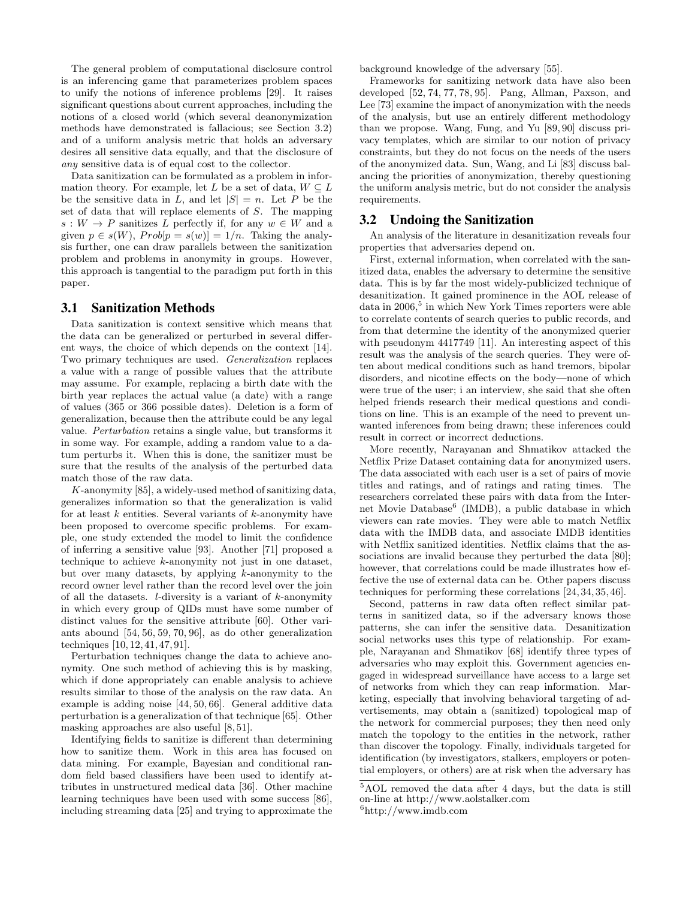The general problem of computational disclosure control is an inferencing game that parameterizes problem spaces to unify the notions of inference problems [29]. It raises significant questions about current approaches, including the notions of a closed world (which several deanonymization methods have demonstrated is fallacious; see Section 3.2) and of a uniform analysis metric that holds an adversary desires all sensitive data equally, and that the disclosure of any sensitive data is of equal cost to the collector.

Data sanitization can be formulated as a problem in information theory. For example, let L be a set of data,  $W \subseteq L$ be the sensitive data in L, and let  $|S| = n$ . Let P be the set of data that will replace elements of S. The mapping  $s: W \to P$  sanitizes L perfectly if, for any  $w \in W$  and a given  $p \in s(W)$ ,  $Prob[p = s(w)] = 1/n$ . Taking the analysis further, one can draw parallels between the sanitization problem and problems in anonymity in groups. However, this approach is tangential to the paradigm put forth in this paper.

#### 3.1 Sanitization Methods

Data sanitization is context sensitive which means that the data can be generalized or perturbed in several different ways, the choice of which depends on the context [14]. Two primary techniques are used. Generalization replaces a value with a range of possible values that the attribute may assume. For example, replacing a birth date with the birth year replaces the actual value (a date) with a range of values (365 or 366 possible dates). Deletion is a form of generalization, because then the attribute could be any legal value. Perturbation retains a single value, but transforms it in some way. For example, adding a random value to a datum perturbs it. When this is done, the sanitizer must be sure that the results of the analysis of the perturbed data match those of the raw data.

K-anonymity [85], a widely-used method of sanitizing data, generalizes information so that the generalization is valid for at least  $k$  entities. Several variants of  $k$ -anonymity have been proposed to overcome specific problems. For example, one study extended the model to limit the confidence of inferring a sensitive value [93]. Another [71] proposed a technique to achieve k-anonymity not just in one dataset, but over many datasets, by applying  $k$ -anonymity to the record owner level rather than the record level over the join of all the datasets.  $l$ -diversity is a variant of  $k$ -anonymity in which every group of QIDs must have some number of distinct values for the sensitive attribute [60]. Other variants abound [54, 56, 59, 70, 96], as do other generalization techniques [10, 12, 41, 47, 91].

Perturbation techniques change the data to achieve anonymity. One such method of achieving this is by masking, which if done appropriately can enable analysis to achieve results similar to those of the analysis on the raw data. An example is adding noise [44, 50, 66]. General additive data perturbation is a generalization of that technique [65]. Other masking approaches are also useful [8, 51].

Identifying fields to sanitize is different than determining how to sanitize them. Work in this area has focused on data mining. For example, Bayesian and conditional random field based classifiers have been used to identify attributes in unstructured medical data [36]. Other machine learning techniques have been used with some success [86], including streaming data [25] and trying to approximate the background knowledge of the adversary [55].

Frameworks for sanitizing network data have also been developed [52, 74, 77, 78, 95]. Pang, Allman, Paxson, and Lee [73] examine the impact of anonymization with the needs of the analysis, but use an entirely different methodology than we propose. Wang, Fung, and Yu [89, 90] discuss privacy templates, which are similar to our notion of privacy constraints, but they do not focus on the needs of the users of the anonymized data. Sun, Wang, and Li [83] discuss balancing the priorities of anonymization, thereby questioning the uniform analysis metric, but do not consider the analysis requirements.

#### 3.2 Undoing the Sanitization

An analysis of the literature in desanitization reveals four properties that adversaries depend on.

First, external information, when correlated with the sanitized data, enables the adversary to determine the sensitive data. This is by far the most widely-publicized technique of desanitization. It gained prominence in the AOL release of data in 2006,<sup>5</sup> in which New York Times reporters were able to correlate contents of search queries to public records, and from that determine the identity of the anonymized querier with pseudonym 4417749 [11]. An interesting aspect of this result was the analysis of the search queries. They were often about medical conditions such as hand tremors, bipolar disorders, and nicotine effects on the body—none of which were true of the user; i an interview, she said that she often helped friends research their medical questions and conditions on line. This is an example of the need to prevent unwanted inferences from being drawn; these inferences could result in correct or incorrect deductions.

More recently, Narayanan and Shmatikov attacked the Netflix Prize Dataset containing data for anonymized users. The data associated with each user is a set of pairs of movie titles and ratings, and of ratings and rating times. The researchers correlated these pairs with data from the Internet Movie Database<sup>6</sup> (IMDB), a public database in which viewers can rate movies. They were able to match Netflix data with the IMDB data, and associate IMDB identities with Netflix sanitized identities. Netflix claims that the associations are invalid because they perturbed the data [80]; however, that correlations could be made illustrates how effective the use of external data can be. Other papers discuss techniques for performing these correlations [24, 34, 35, 46].

Second, patterns in raw data often reflect similar patterns in sanitized data, so if the adversary knows those patterns, she can infer the sensitive data. Desanitization social networks uses this type of relationship. For example, Narayanan and Shmatikov [68] identify three types of adversaries who may exploit this. Government agencies engaged in widespread surveillance have access to a large set of networks from which they can reap information. Marketing, especially that involving behavioral targeting of advertisements, may obtain a (sanitized) topological map of the network for commercial purposes; they then need only match the topology to the entities in the network, rather than discover the topology. Finally, individuals targeted for identification (by investigators, stalkers, employers or potential employers, or others) are at risk when the adversary has

<sup>5</sup>AOL removed the data after 4 days, but the data is still on-line at http://www.aolstalker.com

 $6$ http://www.imdb.com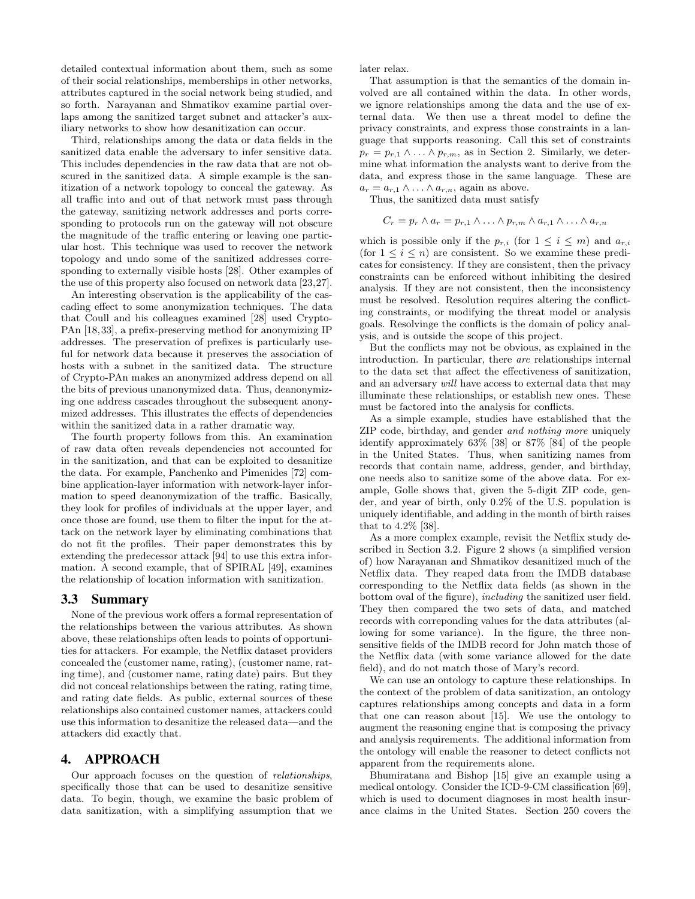detailed contextual information about them, such as some of their social relationships, memberships in other networks, attributes captured in the social network being studied, and so forth. Narayanan and Shmatikov examine partial overlaps among the sanitized target subnet and attacker's auxiliary networks to show how desanitization can occur.

Third, relationships among the data or data fields in the sanitized data enable the adversary to infer sensitive data. This includes dependencies in the raw data that are not obscured in the sanitized data. A simple example is the sanitization of a network topology to conceal the gateway. As all traffic into and out of that network must pass through the gateway, sanitizing network addresses and ports corresponding to protocols run on the gateway will not obscure the magnitude of the traffic entering or leaving one particular host. This technique was used to recover the network topology and undo some of the sanitized addresses corresponding to externally visible hosts [28]. Other examples of the use of this property also focused on network data [23,27].

An interesting observation is the applicability of the cascading effect to some anonymization techniques. The data that Coull and his colleagues examined [28] used Crypto-PAn [18,33], a prefix-preserving method for anonymizing IP addresses. The preservation of prefixes is particularly useful for network data because it preserves the association of hosts with a subnet in the sanitized data. The structure of Crypto-PAn makes an anonymized address depend on all the bits of previous unanonymized data. Thus, deanonymizing one address cascades throughout the subsequent anonymized addresses. This illustrates the effects of dependencies within the sanitized data in a rather dramatic way.

The fourth property follows from this. An examination of raw data often reveals dependencies not accounted for in the sanitization, and that can be exploited to desanitize the data. For example, Panchenko and Pimenides [72] combine application-layer information with network-layer information to speed deanonymization of the traffic. Basically, they look for profiles of individuals at the upper layer, and once those are found, use them to filter the input for the attack on the network layer by eliminating combinations that do not fit the profiles. Their paper demonstrates this by extending the predecessor attack [94] to use this extra information. A second example, that of SPIRAL [49], examines the relationship of location information with sanitization.

#### 3.3 Summary

None of the previous work offers a formal representation of the relationships between the various attributes. As shown above, these relationships often leads to points of opportunities for attackers. For example, the Netflix dataset providers concealed the (customer name, rating), (customer name, rating time), and (customer name, rating date) pairs. But they did not conceal relationships between the rating, rating time, and rating date fields. As public, external sources of these relationships also contained customer names, attackers could use this information to desanitize the released data—and the attackers did exactly that.

#### 4. APPROACH

Our approach focuses on the question of relationships, specifically those that can be used to desanitize sensitive data. To begin, though, we examine the basic problem of data sanitization, with a simplifying assumption that we

later relax.

That assumption is that the semantics of the domain involved are all contained within the data. In other words, we ignore relationships among the data and the use of external data. We then use a threat model to define the privacy constraints, and express those constraints in a language that supports reasoning. Call this set of constraints  $p_r = p_{r,1} \wedge \ldots \wedge p_{r,m}$ , as in Section 2. Similarly, we determine what information the analysts want to derive from the data, and express those in the same language. These are  $a_r = a_{r,1} \wedge \ldots \wedge a_{r,n}$ , again as above.

Thus, the sanitized data must satisfy

$$
C_r = p_r \wedge a_r = p_{r,1} \wedge \ldots \wedge p_{r,m} \wedge a_{r,1} \wedge \ldots \wedge a_{r,n}
$$

which is possible only if the  $p_{r,i}$  (for  $1 \leq i \leq m$ ) and  $a_{r,i}$ (for  $1 \leq i \leq n$ ) are consistent. So we examine these predicates for consistency. If they are consistent, then the privacy constraints can be enforced without inhibiting the desired analysis. If they are not consistent, then the inconsistency must be resolved. Resolution requires altering the conflicting constraints, or modifying the threat model or analysis goals. Resolvinge the conflicts is the domain of policy analysis, and is outside the scope of this project.

But the conflicts may not be obvious, as explained in the introduction. In particular, there are relationships internal to the data set that affect the effectiveness of sanitization, and an adversary will have access to external data that may illuminate these relationships, or establish new ones. These must be factored into the analysis for conflicts.

As a simple example, studies have established that the ZIP code, birthday, and gender and nothing more uniquely identify approximately 63% [38] or 87% [84] of the people in the United States. Thus, when sanitizing names from records that contain name, address, gender, and birthday, one needs also to sanitize some of the above data. For example, Golle shows that, given the 5-digit ZIP code, gender, and year of birth, only 0.2% of the U.S. population is uniquely identifiable, and adding in the month of birth raises that to 4.2% [38].

As a more complex example, revisit the Netflix study described in Section 3.2. Figure 2 shows (a simplified version of) how Narayanan and Shmatikov desanitized much of the Netflix data. They reaped data from the IMDB database corresponding to the Netflix data fields (as shown in the bottom oval of the figure), including the sanitized user field. They then compared the two sets of data, and matched records with correponding values for the data attributes (allowing for some variance). In the figure, the three nonsensitive fields of the IMDB record for John match those of the Netflix data (with some variance allowed for the date field), and do not match those of Mary's record.

We can use an ontology to capture these relationships. In the context of the problem of data sanitization, an ontology captures relationships among concepts and data in a form that one can reason about [15]. We use the ontology to augment the reasoning engine that is composing the privacy and analysis requirements. The additional information from the ontology will enable the reasoner to detect conflicts not apparent from the requirements alone.

Bhumiratana and Bishop [15] give an example using a medical ontology. Consider the ICD-9-CM classification [69], which is used to document diagnoses in most health insurance claims in the United States. Section 250 covers the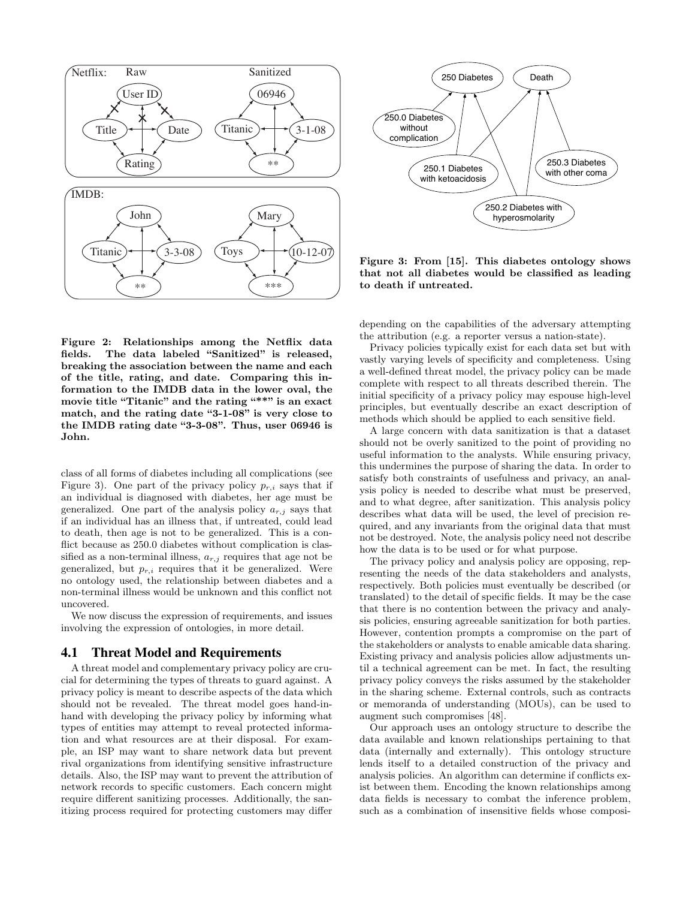

Figure 2: Relationships among the Netflix data fields. The data labeled "Sanitized" is released, breaking the association between the name and each of the title, rating, and date. Comparing this information to the IMDB data in the lower oval, the movie title "Titanic" and the rating "\*\*" is an exact match, and the rating date "3-1-08" is very close to the IMDB rating date "3-3-08". Thus, user 06946 is John.

class of all forms of diabetes including all complications (see Figure 3). One part of the privacy policy  $p_{r,i}$  says that if an individual is diagnosed with diabetes, her age must be generalized. One part of the analysis policy  $a_{r,j}$  says that if an individual has an illness that, if untreated, could lead to death, then age is not to be generalized. This is a conflict because as 250.0 diabetes without complication is classified as a non-terminal illness,  $a_{r,j}$  requires that age not be generalized, but  $p_{r,i}$  requires that it be generalized. Were no ontology used, the relationship between diabetes and a non-terminal illness would be unknown and this conflict not uncovered.

We now discuss the expression of requirements, and issues involving the expression of ontologies, in more detail.

#### 4.1 Threat Model and Requirements

A threat model and complementary privacy policy are crucial for determining the types of threats to guard against. A privacy policy is meant to describe aspects of the data which should not be revealed. The threat model goes hand-inhand with developing the privacy policy by informing what types of entities may attempt to reveal protected information and what resources are at their disposal. For example, an ISP may want to share network data but prevent rival organizations from identifying sensitive infrastructure details. Also, the ISP may want to prevent the attribution of network records to specific customers. Each concern might require different sanitizing processes. Additionally, the sanitizing process required for protecting customers may differ



Figure 3: From [15]. This diabetes ontology shows that not all diabetes would be classified as leading to death if untreated.

depending on the capabilities of the adversary attempting the attribution (e.g. a reporter versus a nation-state).

Privacy policies typically exist for each data set but with vastly varying levels of specificity and completeness. Using a well-defined threat model, the privacy policy can be made complete with respect to all threats described therein. The initial specificity of a privacy policy may espouse high-level principles, but eventually describe an exact description of methods which should be applied to each sensitive field.

A large concern with data sanitization is that a dataset should not be overly sanitized to the point of providing no useful information to the analysts. While ensuring privacy, this undermines the purpose of sharing the data. In order to satisfy both constraints of usefulness and privacy, an analysis policy is needed to describe what must be preserved, and to what degree, after sanitization. This analysis policy describes what data will be used, the level of precision required, and any invariants from the original data that must not be destroyed. Note, the analysis policy need not describe how the data is to be used or for what purpose.

The privacy policy and analysis policy are opposing, representing the needs of the data stakeholders and analysts, respectively. Both policies must eventually be described (or translated) to the detail of specific fields. It may be the case that there is no contention between the privacy and analysis policies, ensuring agreeable sanitization for both parties. However, contention prompts a compromise on the part of the stakeholders or analysts to enable amicable data sharing. Existing privacy and analysis policies allow adjustments until a technical agreement can be met. In fact, the resulting privacy policy conveys the risks assumed by the stakeholder in the sharing scheme. External controls, such as contracts or memoranda of understanding (MOUs), can be used to augment such compromises [48].

Our approach uses an ontology structure to describe the data available and known relationships pertaining to that data (internally and externally). This ontology structure lends itself to a detailed construction of the privacy and analysis policies. An algorithm can determine if conflicts exist between them. Encoding the known relationships among data fields is necessary to combat the inference problem, such as a combination of insensitive fields whose composi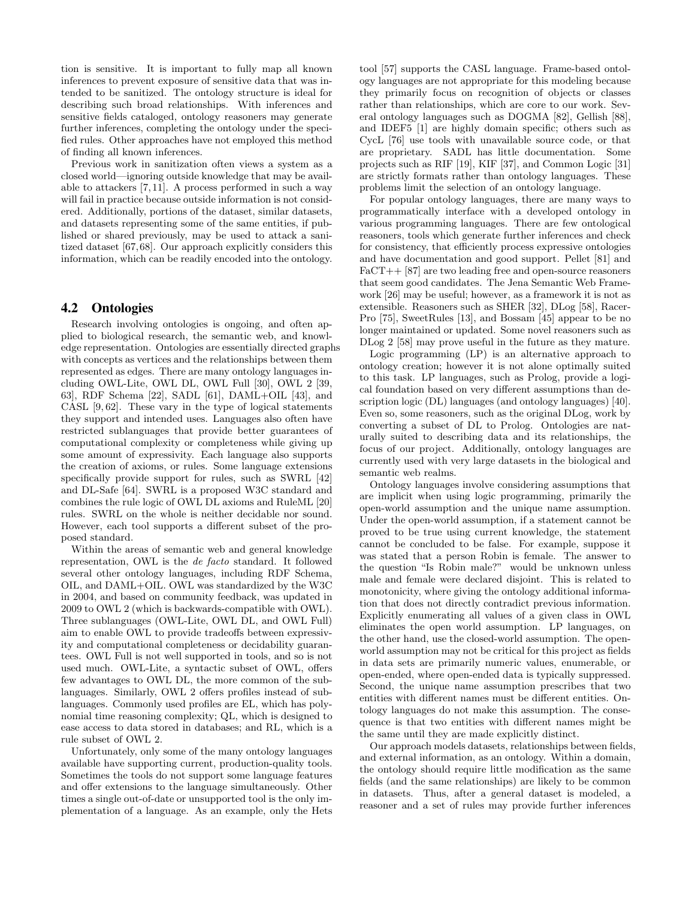tion is sensitive. It is important to fully map all known inferences to prevent exposure of sensitive data that was intended to be sanitized. The ontology structure is ideal for describing such broad relationships. With inferences and sensitive fields cataloged, ontology reasoners may generate further inferences, completing the ontology under the specified rules. Other approaches have not employed this method of finding all known inferences.

Previous work in sanitization often views a system as a closed world—ignoring outside knowledge that may be available to attackers [7, 11]. A process performed in such a way will fail in practice because outside information is not considered. Additionally, portions of the dataset, similar datasets, and datasets representing some of the same entities, if published or shared previously, may be used to attack a sanitized dataset [67,68]. Our approach explicitly considers this information, which can be readily encoded into the ontology.

#### 4.2 Ontologies

Research involving ontologies is ongoing, and often applied to biological research, the semantic web, and knowledge representation. Ontologies are essentially directed graphs with concepts as vertices and the relationships between them represented as edges. There are many ontology languages including OWL-Lite, OWL DL, OWL Full [30], OWL 2 [39, 63], RDF Schema [22], SADL [61], DAML+OIL [43], and CASL [9, 62]. These vary in the type of logical statements they support and intended uses. Languages also often have restricted sublanguages that provide better guarantees of computational complexity or completeness while giving up some amount of expressivity. Each language also supports the creation of axioms, or rules. Some language extensions specifically provide support for rules, such as SWRL [42] and DL-Safe [64]. SWRL is a proposed W3C standard and combines the rule logic of OWL DL axioms and RuleML [20] rules. SWRL on the whole is neither decidable nor sound. However, each tool supports a different subset of the proposed standard.

Within the areas of semantic web and general knowledge representation, OWL is the de facto standard. It followed several other ontology languages, including RDF Schema, OIL, and DAML+OIL. OWL was standardized by the W3C in 2004, and based on community feedback, was updated in 2009 to OWL 2 (which is backwards-compatible with OWL). Three sublanguages (OWL-Lite, OWL DL, and OWL Full) aim to enable OWL to provide tradeoffs between expressivity and computational completeness or decidability guarantees. OWL Full is not well supported in tools, and so is not used much. OWL-Lite, a syntactic subset of OWL, offers few advantages to OWL DL, the more common of the sublanguages. Similarly, OWL 2 offers profiles instead of sublanguages. Commonly used profiles are EL, which has polynomial time reasoning complexity; QL, which is designed to ease access to data stored in databases; and RL, which is a rule subset of OWL 2.

Unfortunately, only some of the many ontology languages available have supporting current, production-quality tools. Sometimes the tools do not support some language features and offer extensions to the language simultaneously. Other times a single out-of-date or unsupported tool is the only implementation of a language. As an example, only the Hets tool [57] supports the CASL language. Frame-based ontology languages are not appropriate for this modeling because they primarily focus on recognition of objects or classes rather than relationships, which are core to our work. Several ontology languages such as DOGMA [82], Gellish [88], and IDEF5 [1] are highly domain specific; others such as CycL [76] use tools with unavailable source code, or that are proprietary. SADL has little documentation. Some projects such as RIF [19], KIF [37], and Common Logic [31] are strictly formats rather than ontology languages. These problems limit the selection of an ontology language.

For popular ontology languages, there are many ways to programmatically interface with a developed ontology in various programming languages. There are few ontological reasoners, tools which generate further inferences and check for consistency, that efficiently process expressive ontologies and have documentation and good support. Pellet [81] and FaCT++ [87] are two leading free and open-source reasoners that seem good candidates. The Jena Semantic Web Framework [26] may be useful; however, as a framework it is not as extensible. Reasoners such as SHER [32], DLog [58], Racer-Pro [75], SweetRules [13], and Bossam [45] appear to be no longer maintained or updated. Some novel reasoners such as DLog 2 [58] may prove useful in the future as they mature.

Logic programming (LP) is an alternative approach to ontology creation; however it is not alone optimally suited to this task. LP languages, such as Prolog, provide a logical foundation based on very different assumptions than description logic (DL) languages (and ontology languages) [40]. Even so, some reasoners, such as the original DLog, work by converting a subset of DL to Prolog. Ontologies are naturally suited to describing data and its relationships, the focus of our project. Additionally, ontology languages are currently used with very large datasets in the biological and semantic web realms.

Ontology languages involve considering assumptions that are implicit when using logic programming, primarily the open-world assumption and the unique name assumption. Under the open-world assumption, if a statement cannot be proved to be true using current knowledge, the statement cannot be concluded to be false. For example, suppose it was stated that a person Robin is female. The answer to the question "Is Robin male?" would be unknown unless male and female were declared disjoint. This is related to monotonicity, where giving the ontology additional information that does not directly contradict previous information. Explicitly enumerating all values of a given class in OWL eliminates the open world assumption. LP languages, on the other hand, use the closed-world assumption. The openworld assumption may not be critical for this project as fields in data sets are primarily numeric values, enumerable, or open-ended, where open-ended data is typically suppressed. Second, the unique name assumption prescribes that two entities with different names must be different entities. Ontology languages do not make this assumption. The consequence is that two entities with different names might be the same until they are made explicitly distinct.

Our approach models datasets, relationships between fields, and external information, as an ontology. Within a domain, the ontology should require little modification as the same fields (and the same relationships) are likely to be common in datasets. Thus, after a general dataset is modeled, a reasoner and a set of rules may provide further inferences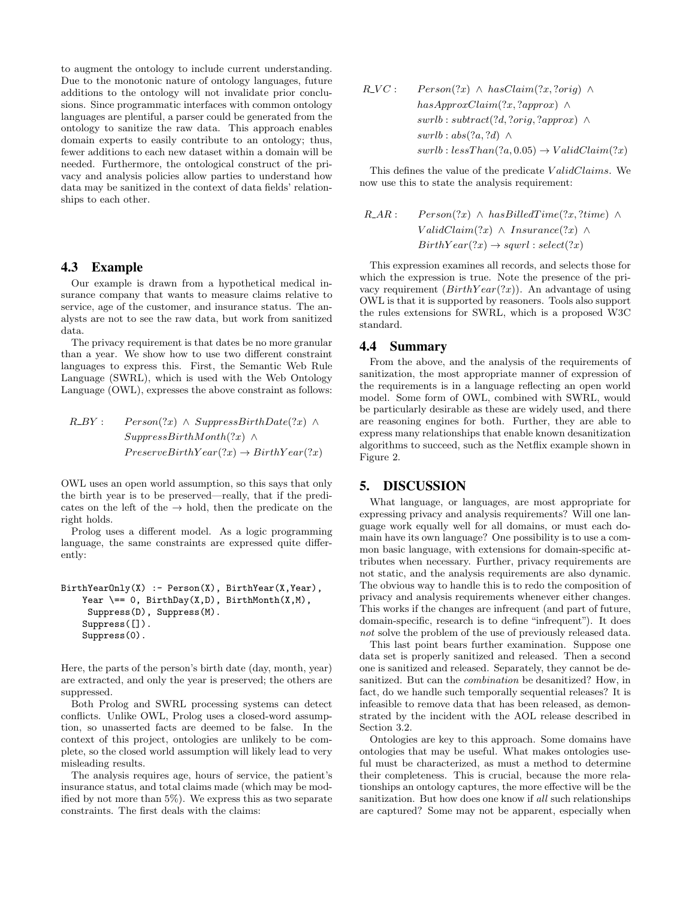to augment the ontology to include current understanding. Due to the monotonic nature of ontology languages, future additions to the ontology will not invalidate prior conclusions. Since programmatic interfaces with common ontology languages are plentiful, a parser could be generated from the ontology to sanitize the raw data. This approach enables domain experts to easily contribute to an ontology; thus, fewer additions to each new dataset within a domain will be needed. Furthermore, the ontological construct of the privacy and analysis policies allow parties to understand how data may be sanitized in the context of data fields' relationships to each other.

#### 4.3 Example

Our example is drawn from a hypothetical medical insurance company that wants to measure claims relative to service, age of the customer, and insurance status. The analysts are not to see the raw data, but work from sanitized data.

The privacy requirement is that dates be no more granular than a year. We show how to use two different constraint languages to express this. First, the Semantic Web Rule Language (SWRL), which is used with the Web Ontology Language (OWL), expresses the above constraint as follows:

R BY : P erson(?x) ∧ SuppressBirthDate(?x) ∧ SuppressBirthMonth(?x) ∧ P reserveBirthY ear(?x) → BirthY ear(?x)

OWL uses an open world assumption, so this says that only the birth year is to be preserved—really, that if the predicates on the left of the  $\rightarrow$  hold, then the predicate on the right holds.

Prolog uses a different model. As a logic programming language, the same constraints are expressed quite differently:

```
BirthYearOnly(X) :- Person(X), BirthYear(X, Year),
Year \ == 0, BirthDay(X,D), BirthMonth(X,M),
 Suppress(D), Suppress(M).
Suppress([]).
Suppress(0).
```
Here, the parts of the person's birth date (day, month, year) are extracted, and only the year is preserved; the others are suppressed.

Both Prolog and SWRL processing systems can detect conflicts. Unlike OWL, Prolog uses a closed-word assumption, so unasserted facts are deemed to be false. In the context of this project, ontologies are unlikely to be complete, so the closed world assumption will likely lead to very misleading results.

The analysis requires age, hours of service, the patient's insurance status, and total claims made (which may be modified by not more than 5%). We express this as two separate constraints. The first deals with the claims:

$$
R\_VC: Person(?x) \wedge hasClaim(?x, ?orig) \wedgehasApproxClaim(?x, ?approx) \wedgeswrlb : subtract(?d, ?orig, ?approx) \wedgeswrlb : abs(?a, ?d) \wedgeswrlb : less Than(?a, 0.05) \rightarrow ValidClaim(?x)
$$

This defines the value of the predicate ValidClaims. We now use this to state the analysis requirement:

R AR : P erson(?x) ∧ hasBilledT ime(?x, ?time) ∧ V alidClaim(?x) ∧ Insurance(?x) ∧ BirthY ear(?x) → sqwrl : select(?x)

This expression examines all records, and selects those for which the expression is true. Note the presence of the privacy requirement  $(BirthYear(?x))$ . An advantage of using OWL is that it is supported by reasoners. Tools also support the rules extensions for SWRL, which is a proposed W3C standard.

#### 4.4 Summary

From the above, and the analysis of the requirements of sanitization, the most appropriate manner of expression of the requirements is in a language reflecting an open world model. Some form of OWL, combined with SWRL, would be particularly desirable as these are widely used, and there are reasoning engines for both. Further, they are able to express many relationships that enable known desanitization algorithms to succeed, such as the Netflix example shown in Figure 2.

## 5. DISCUSSION

What language, or languages, are most appropriate for expressing privacy and analysis requirements? Will one language work equally well for all domains, or must each domain have its own language? One possibility is to use a common basic language, with extensions for domain-specific attributes when necessary. Further, privacy requirements are not static, and the analysis requirements are also dynamic. The obvious way to handle this is to redo the composition of privacy and analysis requirements whenever either changes. This works if the changes are infrequent (and part of future, domain-specific, research is to define "infrequent"). It does not solve the problem of the use of previously released data.

This last point bears further examination. Suppose one data set is properly sanitized and released. Then a second one is sanitized and released. Separately, they cannot be desanitized. But can the combination be desanitized? How, in fact, do we handle such temporally sequential releases? It is infeasible to remove data that has been released, as demonstrated by the incident with the AOL release described in Section 3.2.

Ontologies are key to this approach. Some domains have ontologies that may be useful. What makes ontologies useful must be characterized, as must a method to determine their completeness. This is crucial, because the more relationships an ontology captures, the more effective will be the sanitization. But how does one know if all such relationships are captured? Some may not be apparent, especially when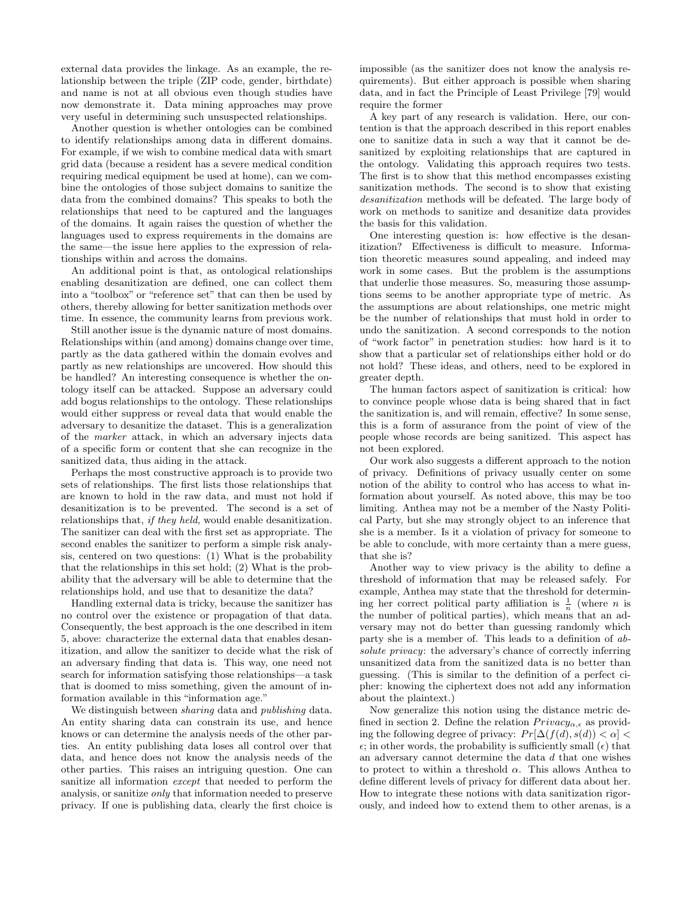external data provides the linkage. As an example, the relationship between the triple (ZIP code, gender, birthdate) and name is not at all obvious even though studies have now demonstrate it. Data mining approaches may prove very useful in determining such unsuspected relationships.

Another question is whether ontologies can be combined to identify relationships among data in different domains. For example, if we wish to combine medical data with smart grid data (because a resident has a severe medical condition requiring medical equipment be used at home), can we combine the ontologies of those subject domains to sanitize the data from the combined domains? This speaks to both the relationships that need to be captured and the languages of the domains. It again raises the question of whether the languages used to express requirements in the domains are the same—the issue here applies to the expression of relationships within and across the domains.

An additional point is that, as ontological relationships enabling desanitization are defined, one can collect them into a "toolbox" or "reference set" that can then be used by others, thereby allowing for better sanitization methods over time. In essence, the community learns from previous work.

Still another issue is the dynamic nature of most domains. Relationships within (and among) domains change over time, partly as the data gathered within the domain evolves and partly as new relationships are uncovered. How should this be handled? An interesting consequence is whether the ontology itself can be attacked. Suppose an adversary could add bogus relationships to the ontology. These relationships would either suppress or reveal data that would enable the adversary to desanitize the dataset. This is a generalization of the marker attack, in which an adversary injects data of a specific form or content that she can recognize in the sanitized data, thus aiding in the attack.

Perhaps the most constructive approach is to provide two sets of relationships. The first lists those relationships that are known to hold in the raw data, and must not hold if desanitization is to be prevented. The second is a set of relationships that, *if they held*, would enable desanitization. The sanitizer can deal with the first set as appropriate. The second enables the sanitizer to perform a simple risk analysis, centered on two questions: (1) What is the probability that the relationships in this set hold; (2) What is the probability that the adversary will be able to determine that the relationships hold, and use that to desanitize the data?

Handling external data is tricky, because the sanitizer has no control over the existence or propagation of that data. Consequently, the best approach is the one described in item 5, above: characterize the external data that enables desanitization, and allow the sanitizer to decide what the risk of an adversary finding that data is. This way, one need not search for information satisfying those relationships—a task that is doomed to miss something, given the amount of information available in this "information age."

We distinguish between *sharing* data and *publishing* data. An entity sharing data can constrain its use, and hence knows or can determine the analysis needs of the other parties. An entity publishing data loses all control over that data, and hence does not know the analysis needs of the other parties. This raises an intriguing question. One can sanitize all information except that needed to perform the analysis, or sanitize only that information needed to preserve privacy. If one is publishing data, clearly the first choice is impossible (as the sanitizer does not know the analysis requirements). But either approach is possible when sharing data, and in fact the Principle of Least Privilege [79] would require the former

A key part of any research is validation. Here, our contention is that the approach described in this report enables one to sanitize data in such a way that it cannot be desanitized by exploiting relationships that are captured in the ontology. Validating this approach requires two tests. The first is to show that this method encompasses existing sanitization methods. The second is to show that existing desanitization methods will be defeated. The large body of work on methods to sanitize and desanitize data provides the basis for this validation.

One interesting question is: how effective is the desanitization? Effectiveness is difficult to measure. Information theoretic measures sound appealing, and indeed may work in some cases. But the problem is the assumptions that underlie those measures. So, measuring those assumptions seems to be another appropriate type of metric. As the assumptions are about relationships, one metric might be the number of relationships that must hold in order to undo the sanitization. A second corresponds to the notion of "work factor" in penetration studies: how hard is it to show that a particular set of relationships either hold or do not hold? These ideas, and others, need to be explored in greater depth.

The human factors aspect of sanitization is critical: how to convince people whose data is being shared that in fact the sanitization is, and will remain, effective? In some sense, this is a form of assurance from the point of view of the people whose records are being sanitized. This aspect has not been explored.

Our work also suggests a different approach to the notion of privacy. Definitions of privacy usually center on some notion of the ability to control who has access to what information about yourself. As noted above, this may be too limiting. Anthea may not be a member of the Nasty Political Party, but she may strongly object to an inference that she is a member. Is it a violation of privacy for someone to be able to conclude, with more certainty than a mere guess, that she is?

Another way to view privacy is the ability to define a threshold of information that may be released safely. For example, Anthea may state that the threshold for determining her correct political party affiliation is  $\frac{1}{n}$  (where *n* is the number of political parties), which means that an adversary may not do better than guessing randomly which party she is a member of. This leads to a definition of absolute privacy: the adversary's chance of correctly inferring unsanitized data from the sanitized data is no better than guessing. (This is similar to the definition of a perfect cipher: knowing the ciphertext does not add any information about the plaintext.)

Now generalize this notion using the distance metric defined in section 2. Define the relation  $Privacy_{\alpha,\epsilon}$  as providing the following degree of privacy:  $Pr[\Delta(f(d), s(d)) < \alpha]$  $\epsilon$ ; in other words, the probability is sufficiently small  $(\epsilon)$  that an adversary cannot determine the data d that one wishes to protect to within a threshold  $\alpha$ . This allows Anthea to define different levels of privacy for different data about her. How to integrate these notions with data sanitization rigorously, and indeed how to extend them to other arenas, is a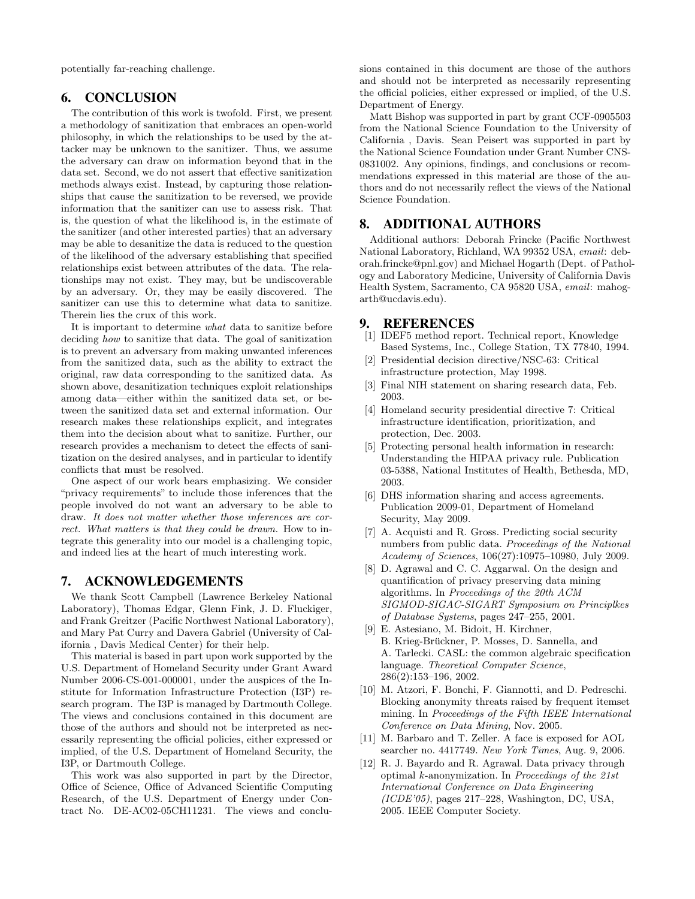potentially far-reaching challenge.

#### 6. CONCLUSION

The contribution of this work is twofold. First, we present a methodology of sanitization that embraces an open-world philosophy, in which the relationships to be used by the attacker may be unknown to the sanitizer. Thus, we assume the adversary can draw on information beyond that in the data set. Second, we do not assert that effective sanitization methods always exist. Instead, by capturing those relationships that cause the sanitization to be reversed, we provide information that the sanitizer can use to assess risk. That is, the question of what the likelihood is, in the estimate of the sanitizer (and other interested parties) that an adversary may be able to desanitize the data is reduced to the question of the likelihood of the adversary establishing that specified relationships exist between attributes of the data. The relationships may not exist. They may, but be undiscoverable by an adversary. Or, they may be easily discovered. The sanitizer can use this to determine what data to sanitize. Therein lies the crux of this work.

It is important to determine what data to sanitize before deciding how to sanitize that data. The goal of sanitization is to prevent an adversary from making unwanted inferences from the sanitized data, such as the ability to extract the original, raw data corresponding to the sanitized data. As shown above, desanitization techniques exploit relationships among data—either within the sanitized data set, or between the sanitized data set and external information. Our research makes these relationships explicit, and integrates them into the decision about what to sanitize. Further, our research provides a mechanism to detect the effects of sanitization on the desired analyses, and in particular to identify conflicts that must be resolved.

One aspect of our work bears emphasizing. We consider "privacy requirements" to include those inferences that the people involved do not want an adversary to be able to draw. It does not matter whether those inferences are correct. What matters is that they could be drawn. How to integrate this generality into our model is a challenging topic, and indeed lies at the heart of much interesting work.

### 7. ACKNOWLEDGEMENTS

We thank Scott Campbell (Lawrence Berkeley National Laboratory), Thomas Edgar, Glenn Fink, J. D. Fluckiger, and Frank Greitzer (Pacific Northwest National Laboratory), and Mary Pat Curry and Davera Gabriel (University of California , Davis Medical Center) for their help.

This material is based in part upon work supported by the U.S. Department of Homeland Security under Grant Award Number 2006-CS-001-000001, under the auspices of the Institute for Information Infrastructure Protection (I3P) research program. The I3P is managed by Dartmouth College. The views and conclusions contained in this document are those of the authors and should not be interpreted as necessarily representing the official policies, either expressed or implied, of the U.S. Department of Homeland Security, the I3P, or Dartmouth College.

This work was also supported in part by the Director, Office of Science, Office of Advanced Scientific Computing Research, of the U.S. Department of Energy under Contract No. DE-AC02-05CH11231. The views and conclusions contained in this document are those of the authors and should not be interpreted as necessarily representing the official policies, either expressed or implied, of the U.S. Department of Energy.

Matt Bishop was supported in part by grant CCF-0905503 from the National Science Foundation to the University of California , Davis. Sean Peisert was supported in part by the National Science Foundation under Grant Number CNS-0831002. Any opinions, findings, and conclusions or recommendations expressed in this material are those of the authors and do not necessarily reflect the views of the National Science Foundation.

## 8. ADDITIONAL AUTHORS

Additional authors: Deborah Frincke (Pacific Northwest National Laboratory, Richland, WA 99352 USA, email: deborah.frincke@pnl.gov) and Michael Hogarth (Dept. of Pathology and Laboratory Medicine, University of California Davis Health System, Sacramento, CA 95820 USA, email: mahogarth@ucdavis.edu).

# **9. REFERENCES** [1] IDEF5 method repor

- [1] IDEF5 method report. Technical report, Knowledge Based Systems, Inc., College Station, TX 77840, 1994.
- [2] Presidential decision directive/NSC-63: Critical infrastructure protection, May 1998.
- [3] Final NIH statement on sharing research data, Feb. 2003.
- [4] Homeland security presidential directive 7: Critical infrastructure identification, prioritization, and protection, Dec. 2003.
- [5] Protecting personal health information in research: Understanding the HIPAA privacy rule. Publication 03-5388, National Institutes of Health, Bethesda, MD, 2003.
- [6] DHS information sharing and access agreements. Publication 2009-01, Department of Homeland Security, May 2009.
- [7] A. Acquisti and R. Gross. Predicting social security numbers from public data. Proceedings of the National Academy of Sciences, 106(27):10975–10980, July 2009.
- [8] D. Agrawal and C. C. Aggarwal. On the design and quantification of privacy preserving data mining algorithms. In Proceedings of the 20th ACM SIGMOD-SIGAC-SIGART Symposium on Principlkes of Database Systems, pages 247–255, 2001.
- [9] E. Astesiano, M. Bidoit, H. Kirchner, B. Krieg-Brückner, P. Mosses, D. Sannella, and A. Tarlecki. CASL: the common algebraic specification language. Theoretical Computer Science, 286(2):153–196, 2002.
- [10] M. Atzori, F. Bonchi, F. Giannotti, and D. Pedreschi. Blocking anonymity threats raised by frequent itemset mining. In Proceedings of the Fifth IEEE International Conference on Data Mining, Nov. 2005.
- [11] M. Barbaro and T. Zeller. A face is exposed for AOL searcher no. 4417749. New York Times, Aug. 9, 2006.
- [12] R. J. Bayardo and R. Agrawal. Data privacy through optimal k-anonymization. In Proceedings of the 21st International Conference on Data Engineering (ICDE'05), pages 217–228, Washington, DC, USA, 2005. IEEE Computer Society.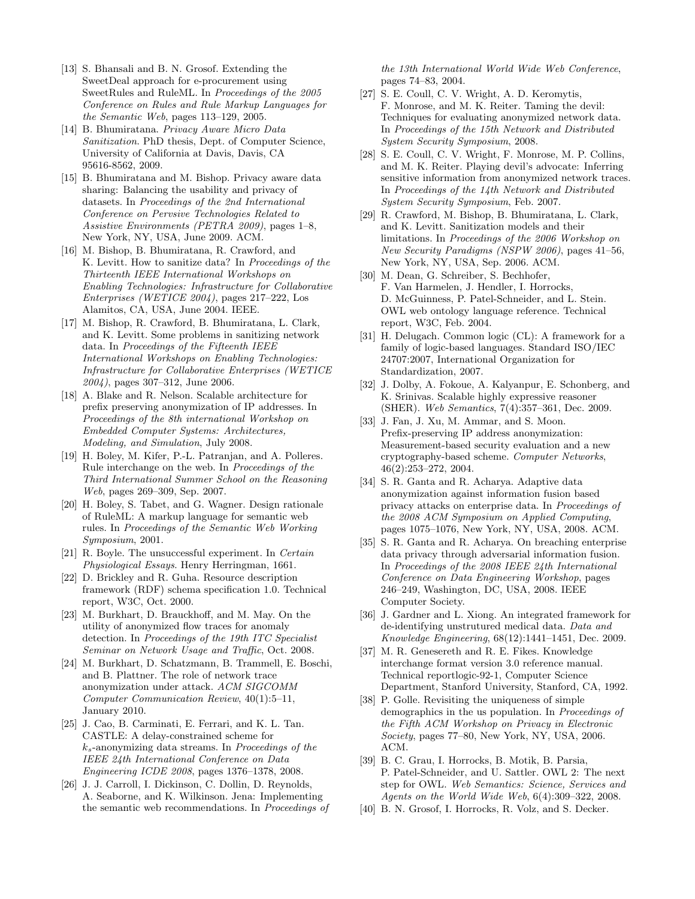- [13] S. Bhansali and B. N. Grosof. Extending the SweetDeal approach for e-procurement using SweetRules and RuleML. In Proceedings of the 2005 Conference on Rules and Rule Markup Languages for the Semantic Web, pages 113–129, 2005.
- [14] B. Bhumiratana. Privacy Aware Micro Data Sanitization. PhD thesis, Dept. of Computer Science, University of California at Davis, Davis, CA 95616-8562, 2009.
- [15] B. Bhumiratana and M. Bishop. Privacy aware data sharing: Balancing the usability and privacy of datasets. In Proceedings of the 2nd International Conference on Pervsive Technologies Related to Assistive Environments (PETRA 2009), pages 1–8, New York, NY, USA, June 2009. ACM.
- [16] M. Bishop, B. Bhumiratana, R. Crawford, and K. Levitt. How to sanitize data? In Proceedings of the Thirteenth IEEE International Workshops on Enabling Technologies: Infrastructure for Collaborative Enterprises (WETICE 2004), pages 217–222, Los Alamitos, CA, USA, June 2004. IEEE.
- [17] M. Bishop, R. Crawford, B. Bhumiratana, L. Clark, and K. Levitt. Some problems in sanitizing network data. In Proceedings of the Fifteenth IEEE International Workshops on Enabling Technologies: Infrastructure for Collaborative Enterprises (WETICE 2004), pages 307–312, June 2006.
- [18] A. Blake and R. Nelson. Scalable architecture for prefix preserving anonymization of IP addresses. In Proceedings of the 8th international Workshop on Embedded Computer Systems: Architectures, Modeling, and Simulation, July 2008.
- [19] H. Boley, M. Kifer, P.-L. Patranjan, and A. Polleres. Rule interchange on the web. In Proceedings of the Third International Summer School on the Reasoning Web, pages 269–309, Sep. 2007.
- [20] H. Boley, S. Tabet, and G. Wagner. Design rationale of RuleML: A markup language for semantic web rules. In Proceedings of the Semantic Web Working Symposium, 2001.
- [21] R. Boyle. The unsuccessful experiment. In Certain Physiological Essays. Henry Herringman, 1661.
- [22] D. Brickley and R. Guha. Resource description framework (RDF) schema specification 1.0. Technical report, W3C, Oct. 2000.
- [23] M. Burkhart, D. Brauckhoff, and M. May. On the utility of anonymized flow traces for anomaly detection. In Proceedings of the 19th ITC Specialist Seminar on Network Usage and Traffic, Oct. 2008.
- [24] M. Burkhart, D. Schatzmann, B. Trammell, E. Boschi, and B. Plattner. The role of network trace anonymization under attack. ACM SIGCOMM Computer Communication Review, 40(1):5–11, January 2010.
- [25] J. Cao, B. Carminati, E. Ferrari, and K. L. Tan. CASTLE: A delay-constrained scheme for  $k_s$ -anonymizing data streams. In Proceedings of the IEEE 24th International Conference on Data Engineering ICDE 2008, pages 1376–1378, 2008.
- [26] J. J. Carroll, I. Dickinson, C. Dollin, D. Reynolds, A. Seaborne, and K. Wilkinson. Jena: Implementing the semantic web recommendations. In Proceedings of

the 13th International World Wide Web Conference, pages 74–83, 2004.

- [27] S. E. Coull, C. V. Wright, A. D. Keromytis, F. Monrose, and M. K. Reiter. Taming the devil: Techniques for evaluating anonymized network data. In Proceedings of the 15th Network and Distributed System Security Symposium, 2008.
- [28] S. E. Coull, C. V. Wright, F. Monrose, M. P. Collins, and M. K. Reiter. Playing devil's advocate: Inferring sensitive information from anonymized network traces. In Proceedings of the 14th Network and Distributed System Security Symposium, Feb. 2007.
- [29] R. Crawford, M. Bishop, B. Bhumiratana, L. Clark, and K. Levitt. Sanitization models and their limitations. In Proceedings of the 2006 Workshop on New Security Paradigms (NSPW 2006), pages 41–56, New York, NY, USA, Sep. 2006. ACM.
- [30] M. Dean, G. Schreiber, S. Bechhofer, F. Van Harmelen, J. Hendler, I. Horrocks, D. McGuinness, P. Patel-Schneider, and L. Stein. OWL web ontology language reference. Technical report, W3C, Feb. 2004.
- [31] H. Delugach. Common logic (CL): A framework for a family of logic-based languages. Standard ISO/IEC 24707:2007, International Organization for Standardization, 2007.
- [32] J. Dolby, A. Fokoue, A. Kalyanpur, E. Schonberg, and K. Srinivas. Scalable highly expressive reasoner (SHER). Web Semantics, 7(4):357–361, Dec. 2009.
- [33] J. Fan, J. Xu, M. Ammar, and S. Moon. Prefix-preserving IP address anonymization: Measurement-based security evaluation and a new cryptography-based scheme. Computer Networks, 46(2):253–272, 2004.
- [34] S. R. Ganta and R. Acharya. Adaptive data anonymization against information fusion based privacy attacks on enterprise data. In Proceedings of the 2008 ACM Symposium on Applied Computing, pages 1075–1076, New York, NY, USA, 2008. ACM.
- [35] S. R. Ganta and R. Acharya. On breaching enterprise data privacy through adversarial information fusion. In Proceedings of the 2008 IEEE 24th International Conference on Data Engineering Workshop, pages 246–249, Washington, DC, USA, 2008. IEEE Computer Society.
- [36] J. Gardner and L. Xiong. An integrated framework for de-identifying unstrutured medical data. Data and Knowledge Engineering, 68(12):1441–1451, Dec. 2009.
- [37] M. R. Genesereth and R. E. Fikes. Knowledge interchange format version 3.0 reference manual. Technical reportlogic-92-1, Computer Science Department, Stanford University, Stanford, CA, 1992.
- [38] P. Golle. Revisiting the uniqueness of simple demographics in the us population. In Proceedings of the Fifth ACM Workshop on Privacy in Electronic Society, pages 77–80, New York, NY, USA, 2006. ACM.
- [39] B. C. Grau, I. Horrocks, B. Motik, B. Parsia, P. Patel-Schneider, and U. Sattler. OWL 2: The next step for OWL. Web Semantics: Science, Services and Agents on the World Wide Web, 6(4):309–322, 2008.
- [40] B. N. Grosof, I. Horrocks, R. Volz, and S. Decker.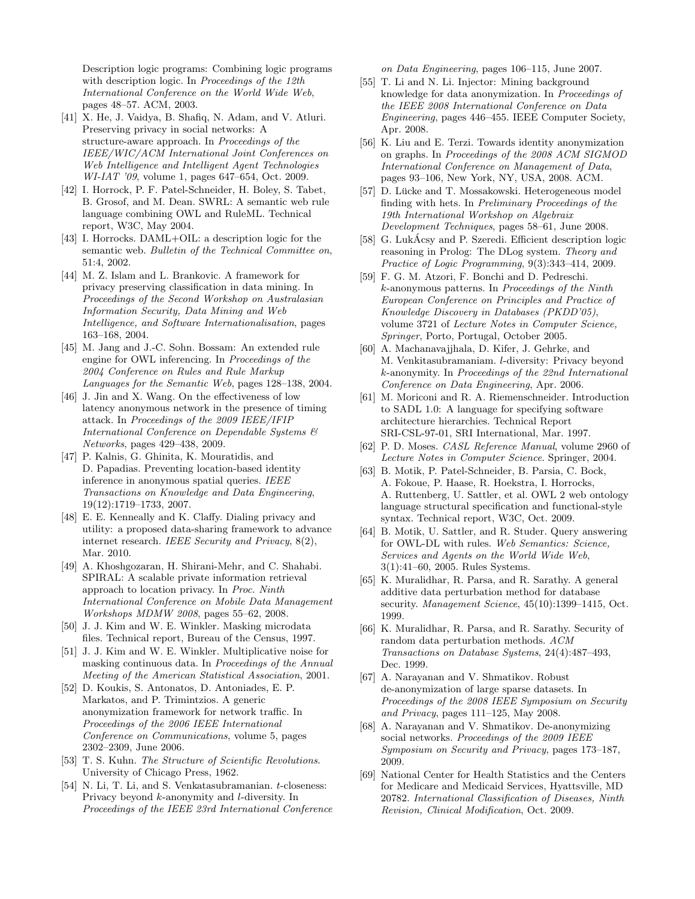Description logic programs: Combining logic programs with description logic. In Proceedings of the 12th International Conference on the World Wide Web, pages 48–57. ACM, 2003.

- [41] X. He, J. Vaidya, B. Shafiq, N. Adam, and V. Atluri. Preserving privacy in social networks: A structure-aware approach. In Proceedings of the IEEE/WIC/ACM International Joint Conferences on Web Intelligence and Intelligent Agent Technologies WI-IAT '09, volume 1, pages 647–654, Oct. 2009.
- [42] I. Horrock, P. F. Patel-Schneider, H. Boley, S. Tabet, B. Grosof, and M. Dean. SWRL: A semantic web rule language combining OWL and RuleML. Technical report, W3C, May 2004.
- [43] I. Horrocks. DAML+OIL: a description logic for the semantic web. Bulletin of the Technical Committee on, 51:4, 2002.
- [44] M. Z. Islam and L. Brankovic. A framework for privacy preserving classification in data mining. In Proceedings of the Second Workshop on Australasian Information Security, Data Mining and Web Intelligence, and Software Internationalisation, pages 163–168, 2004.
- [45] M. Jang and J.-C. Sohn. Bossam: An extended rule engine for OWL inferencing. In Proceedings of the 2004 Conference on Rules and Rule Markup Languages for the Semantic Web, pages 128–138, 2004.
- [46] J. Jin and X. Wang. On the effectiveness of low latency anonymous network in the presence of timing attack. In Proceedings of the 2009 IEEE/IFIP International Conference on Dependable Systems & Networks, pages 429–438, 2009.
- [47] P. Kalnis, G. Ghinita, K. Mouratidis, and D. Papadias. Preventing location-based identity inference in anonymous spatial queries. IEEE Transactions on Knowledge and Data Engineering, 19(12):1719–1733, 2007.
- [48] E. E. Kenneally and K. Claffy. Dialing privacy and utility: a proposed data-sharing framework to advance internet research. IEEE Security and Privacy, 8(2), Mar. 2010.
- [49] A. Khoshgozaran, H. Shirani-Mehr, and C. Shahabi. SPIRAL: A scalable private information retrieval approach to location privacy. In Proc. Ninth International Conference on Mobile Data Management Workshops MDMW 2008, pages 55–62, 2008.
- [50] J. J. Kim and W. E. Winkler. Masking microdata files. Technical report, Bureau of the Census, 1997.
- [51] J. J. Kim and W. E. Winkler. Multiplicative noise for masking continuous data. In Proceedings of the Annual Meeting of the American Statistical Association, 2001.
- [52] D. Koukis, S. Antonatos, D. Antoniades, E. P. Markatos, and P. Trimintzios. A generic anonymization framework for network traffic. In Proceedings of the 2006 IEEE International Conference on Communications, volume 5, pages 2302–2309, June 2006.
- [53] T. S. Kuhn. The Structure of Scientific Revolutions. University of Chicago Press, 1962.
- [54] N. Li, T. Li, and S. Venkatasubramanian. t-closeness: Privacy beyond k-anonymity and l-diversity. In Proceedings of the IEEE 23rd International Conference

on Data Engineering, pages 106–115, June 2007.

- [55] T. Li and N. Li. Injector: Mining background knowledge for data anonymization. In Proceedings of the IEEE 2008 International Conference on Data Engineering, pages 446–455. IEEE Computer Society, Apr. 2008.
- [56] K. Liu and E. Terzi. Towards identity anonymization on graphs. In Proceedings of the 2008 ACM SIGMOD International Conference on Management of Data, pages 93–106, New York, NY, USA, 2008. ACM.
- [57] D. Lücke and T. Mossakowski. Heterogeneous model finding with hets. In Preliminary Proceedings of the 19th International Workshop on Algebraix Development Techniques, pages 58–61, June 2008.
- [58] G. LukAcsy and P. Szeredi. Efficient description logic reasoning in Prolog: The DLog system. Theory and Practice of Logic Programming, 9(3):343–414, 2009.
- [59] F. G. M. Atzori, F. Bonchi and D. Pedreschi. k-anonymous patterns. In Proceedings of the Ninth European Conference on Principles and Practice of Knowledge Discovery in Databases (PKDD'05), volume 3721 of Lecture Notes in Computer Science, Springer, Porto, Portugal, October 2005.
- [60] A. Machanavajjhala, D. Kifer, J. Gehrke, and M. Venkitasubramaniam. l-diversity: Privacy beyond k-anonymity. In Proceedings of the 22nd International Conference on Data Engineering, Apr. 2006.
- [61] M. Moriconi and R. A. Riemenschneider. Introduction to SADL 1.0: A language for specifying software architecture hierarchies. Technical Report SRI-CSL-97-01, SRI International, Mar. 1997.
- [62] P. D. Moses. CASL Reference Manual, volume 2960 of Lecture Notes in Computer Science. Springer, 2004.
- [63] B. Motik, P. Patel-Schneider, B. Parsia, C. Bock, A. Fokoue, P. Haase, R. Hoekstra, I. Horrocks, A. Ruttenberg, U. Sattler, et al. OWL 2 web ontology language structural specification and functional-style syntax. Technical report, W3C, Oct. 2009.
- [64] B. Motik, U. Sattler, and R. Studer. Query answering for OWL-DL with rules. Web Semantics: Science, Services and Agents on the World Wide Web, 3(1):41–60, 2005. Rules Systems.
- [65] K. Muralidhar, R. Parsa, and R. Sarathy. A general additive data perturbation method for database security. Management Science, 45(10):1399-1415, Oct. 1999.
- [66] K. Muralidhar, R. Parsa, and R. Sarathy. Security of random data perturbation methods. ACM Transactions on Database Systems, 24(4):487–493, Dec. 1999.
- [67] A. Narayanan and V. Shmatikov. Robust de-anonymization of large sparse datasets. In Proceedings of the 2008 IEEE Symposium on Security and Privacy, pages  $111-125$ , May 2008.
- [68] A. Narayanan and V. Shmatikov. De-anonymizing social networks. Proceedings of the 2009 IEEE Symposium on Security and Privacy, pages 173–187, 2009.
- [69] National Center for Health Statistics and the Centers for Medicare and Medicaid Services, Hyattsville, MD 20782. International Classification of Diseases, Ninth Revision, Clinical Modification, Oct. 2009.